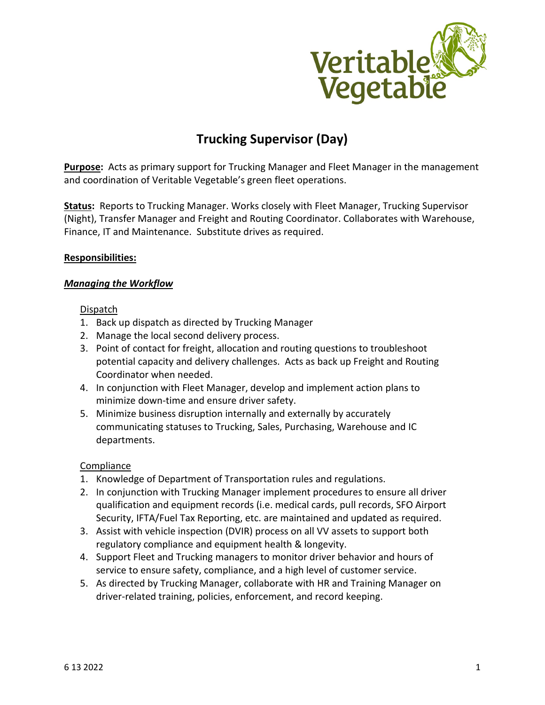

# **Trucking Supervisor (Day)**

**Purpose:** Acts as primary support for Trucking Manager and Fleet Manager in the management and coordination of Veritable Vegetable's green fleet operations.

**Status:** Reports to Trucking Manager. Works closely with Fleet Manager, Trucking Supervisor (Night), Transfer Manager and Freight and Routing Coordinator. Collaborates with Warehouse, Finance, IT and Maintenance. Substitute drives as required.

## **Responsibilities:**

## *Managing the Workflow*

## Dispatch

- 1. Back up dispatch as directed by Trucking Manager
- 2. Manage the local second delivery process.
- 3. Point of contact for freight, allocation and routing questions to troubleshoot potential capacity and delivery challenges. Acts as back up Freight and Routing Coordinator when needed.
- 4. In conjunction with Fleet Manager, develop and implement action plans to minimize down-time and ensure driver safety.
- 5. Minimize business disruption internally and externally by accurately communicating statuses to Trucking, Sales, Purchasing, Warehouse and IC departments.

## **Compliance**

- 1. Knowledge of Department of Transportation rules and regulations.
- 2. In conjunction with Trucking Manager implement procedures to ensure all driver qualification and equipment records (i.e. medical cards, pull records, SFO Airport Security, IFTA/Fuel Tax Reporting, etc. are maintained and updated as required.
- 3. Assist with vehicle inspection (DVIR) process on all VV assets to support both regulatory compliance and equipment health & longevity.
- 4. Support Fleet and Trucking managers to monitor driver behavior and hours of service to ensure safety, compliance, and a high level of customer service.
- 5. As directed by Trucking Manager, collaborate with HR and Training Manager on driver-related training, policies, enforcement, and record keeping.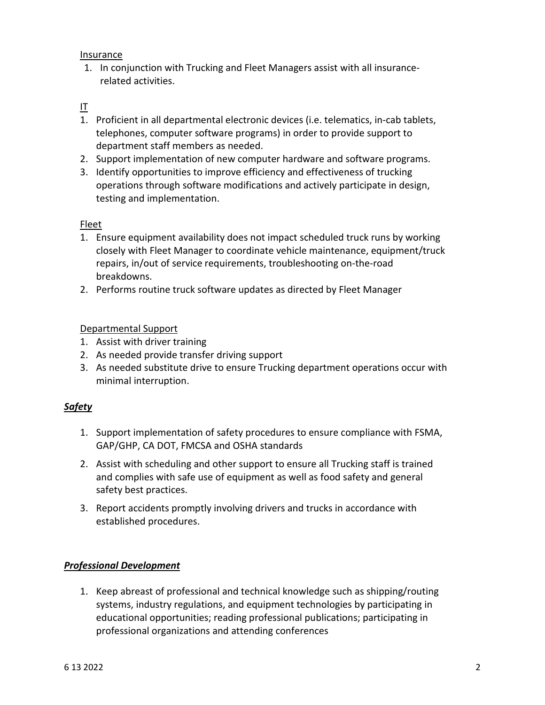Insurance

1. In conjunction with Trucking and Fleet Managers assist with all insurancerelated activities.

# IT

- 1. Proficient in all departmental electronic devices (i.e. telematics, in-cab tablets, telephones, computer software programs) in order to provide support to department staff members as needed.
- 2. Support implementation of new computer hardware and software programs.
- 3. Identify opportunities to improve efficiency and effectiveness of trucking operations through software modifications and actively participate in design, testing and implementation.

## Fleet

- 1. Ensure equipment availability does not impact scheduled truck runs by working closely with Fleet Manager to coordinate vehicle maintenance, equipment/truck repairs, in/out of service requirements, troubleshooting on-the-road breakdowns.
- 2. Performs routine truck software updates as directed by Fleet Manager

## Departmental Support

- 1. Assist with driver training
- 2. As needed provide transfer driving support
- 3. As needed substitute drive to ensure Trucking department operations occur with minimal interruption.

# *Safety*

- 1. Support implementation of safety procedures to ensure compliance with FSMA, GAP/GHP, CA DOT, FMCSA and OSHA standards
- 2. Assist with scheduling and other support to ensure all Trucking staff is trained and complies with safe use of equipment as well as food safety and general safety best practices.
- 3. Report accidents promptly involving drivers and trucks in accordance with established procedures.

# *Professional Development*

1. Keep abreast of professional and technical knowledge such as shipping/routing systems, industry regulations, and equipment technologies by participating in educational opportunities; reading professional publications; participating in professional organizations and attending conferences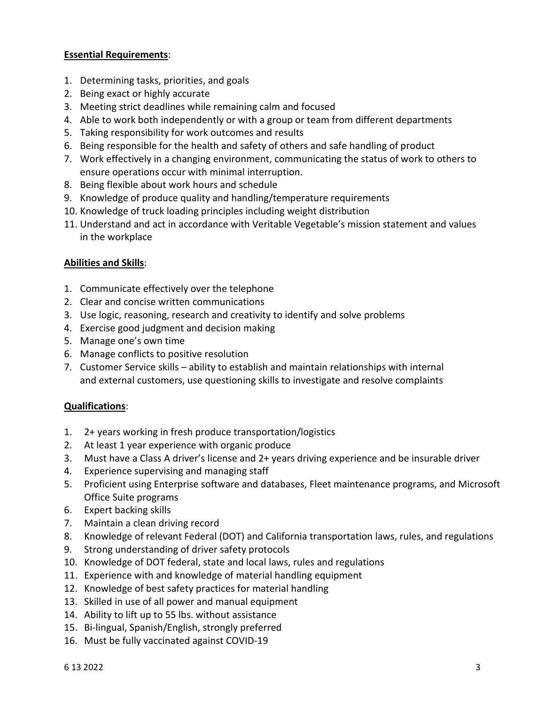## **Essential Requirements**:

- 1. Determining tasks, priorities, and goals
- 2. Being exact or highly accurate
- 3. Meeting strict deadlines while remaining calm and focused
- 4. Able to work both independently or with a group or team from different departments
- 5. Taking responsibility for work outcomes and results
- 6. Being responsible for the health and safety of others and safe handling of product
- 7. Work effectively in a changing environment, communicating the status of work to others to ensure operations occur with minimal interruption.
- 8. Being flexible about work hours and schedule
- 9. Knowledge of produce quality and handling/temperature requirements
- 10. Knowledge of truck loading principles including weight distribution
- 11. Understand and act in accordance with Veritable Vegetable's mission statement and values in the workplace

## **Abilities and Skills**:

- 1. Communicate effectively over the telephone
- 2. Clear and concise written communications
- 3. Use logic, reasoning, research and creativity to identify and solve problems
- 4. Exercise good judgment and decision making
- 5. Manage one's own time
- 6. Manage conflicts to positive resolution
- 7. Customer Service skills ability to establish and maintain relationships with internal and external customers, use questioning skills to investigate and resolve complaints

## **Qualifications**:

- 1. 2+ years working in fresh produce transportation/logistics
- 2. At least 1 year experience with organic produce
- 3. Must have a Class A driver's license and 2+ years driving experience and be insurable driver
- 4. Experience supervising and managing staff
- 5. Proficient using Enterprise software and databases, Fleet maintenance programs, and Microsoft Office Suite programs
- 6. Expert backing skills
- 7. Maintain a clean driving record
- 8. Knowledge of relevant Federal (DOT) and California transportation laws, rules, and regulations
- 9. Strong understanding of driver safety protocols
- 10. Knowledge of DOT federal, state and local laws, rules and regulations
- 11. Experience with and knowledge of material handling equipment
- 12. Knowledge of best safety practices for material handling
- 13. Skilled in use of all power and manual equipment
- 14. Ability to lift up to 55 lbs. without assistance
- 15. Bi-lingual, Spanish/English, strongly preferred
- 16. Must be fully vaccinated against COVID-19